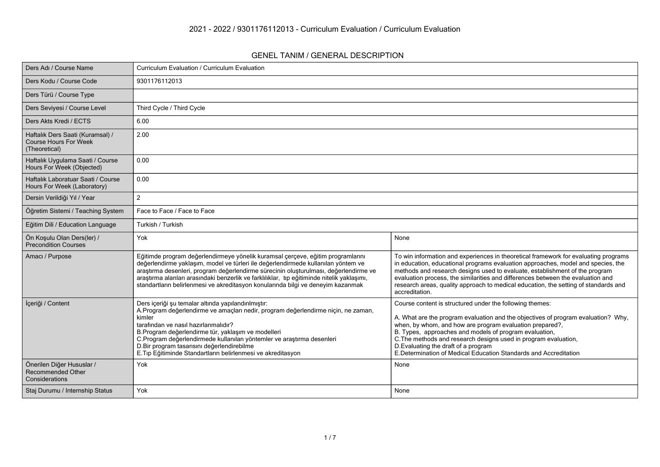#### **GENEL TANIM / GENERAL DESCRIPTION**

| Ders Adı / Course Name                                                            | Curriculum Evaluation / Curriculum Evaluation                                                                                                                                                                                                                                                                                                                                                                                                  |                                                                                                                                                                                                                                                                                                                                                                                                                                                     |
|-----------------------------------------------------------------------------------|------------------------------------------------------------------------------------------------------------------------------------------------------------------------------------------------------------------------------------------------------------------------------------------------------------------------------------------------------------------------------------------------------------------------------------------------|-----------------------------------------------------------------------------------------------------------------------------------------------------------------------------------------------------------------------------------------------------------------------------------------------------------------------------------------------------------------------------------------------------------------------------------------------------|
| Ders Kodu / Course Code                                                           | 9301176112013                                                                                                                                                                                                                                                                                                                                                                                                                                  |                                                                                                                                                                                                                                                                                                                                                                                                                                                     |
| Ders Türü / Course Type                                                           |                                                                                                                                                                                                                                                                                                                                                                                                                                                |                                                                                                                                                                                                                                                                                                                                                                                                                                                     |
| Ders Seviyesi / Course Level                                                      | Third Cycle / Third Cycle                                                                                                                                                                                                                                                                                                                                                                                                                      |                                                                                                                                                                                                                                                                                                                                                                                                                                                     |
| Ders Akts Kredi / ECTS                                                            | 6.00                                                                                                                                                                                                                                                                                                                                                                                                                                           |                                                                                                                                                                                                                                                                                                                                                                                                                                                     |
| Haftalık Ders Saati (Kuramsal) /<br><b>Course Hours For Week</b><br>(Theoretical) | 2.00                                                                                                                                                                                                                                                                                                                                                                                                                                           |                                                                                                                                                                                                                                                                                                                                                                                                                                                     |
| Haftalık Uygulama Saati / Course<br>Hours For Week (Objected)                     | 0.00                                                                                                                                                                                                                                                                                                                                                                                                                                           |                                                                                                                                                                                                                                                                                                                                                                                                                                                     |
| Haftalık Laboratuar Saati / Course<br>Hours For Week (Laboratory)                 | 0.00                                                                                                                                                                                                                                                                                                                                                                                                                                           |                                                                                                                                                                                                                                                                                                                                                                                                                                                     |
| Dersin Verildiği Yıl / Year                                                       | $\overline{2}$                                                                                                                                                                                                                                                                                                                                                                                                                                 |                                                                                                                                                                                                                                                                                                                                                                                                                                                     |
| Öğretim Sistemi / Teaching System                                                 | Face to Face / Face to Face                                                                                                                                                                                                                                                                                                                                                                                                                    |                                                                                                                                                                                                                                                                                                                                                                                                                                                     |
| Eğitim Dili / Education Language                                                  | Turkish / Turkish                                                                                                                                                                                                                                                                                                                                                                                                                              |                                                                                                                                                                                                                                                                                                                                                                                                                                                     |
| Ön Koşulu Olan Ders(ler) /<br><b>Precondition Courses</b>                         | Yok                                                                                                                                                                                                                                                                                                                                                                                                                                            | None                                                                                                                                                                                                                                                                                                                                                                                                                                                |
| Amacı / Purpose                                                                   | Eğitimde program değerlendirmeye yönelik kuramsal çerçeve, eğitim programlarını<br>değerlendirme yaklaşım, model ve türleri ile değerlendirmede kullanılan yöntem ve<br>araştırma desenleri, program değerlendirme sürecinin oluşturulması, değerlendirme ve<br>araştırma alanları arasındaki benzerlik ve farklılıklar, tıp eğitiminde nitelik yaklaşımı,<br>standartların belirlenmesi ve akreditasyon konularında bilgi ve deneyim kazanmak | To win information and experiences in theoretical framework for evaluating programs<br>in education, educational programs evaluation approaches, model and species, the<br>methods and research designs used to evaluate, establishment of the program<br>evaluation process, the similarities and differences between the evaluation and<br>research areas, quality approach to medical education, the setting of standards and<br>accreditation.  |
| İçeriği / Content                                                                 | Ders içeriği şu temalar altında yapılandırılmıştır:<br>A.Program değerlendirme ve amaçları nedir, program değerlendirme niçin, ne zaman,<br>kimler<br>tarafından ve nasıl hazırlanmalıdır?<br>B.Program değerlendirme tür, yaklaşım ve modelleri<br>C.Program değerlendirmede kullanılan yöntemler ve araştırma desenleri<br>D.Bir program tasarısını değerlendirebilme<br>E.Tıp Eğitiminde Standartların belirlenmesi ve akreditasyon         | Course content is structured under the following themes:<br>A. What are the program evaluation and the objectives of program evaluation? Why,<br>when, by whom, and how are program evaluation prepared?,<br>B. Types, approaches and models of program evaluation,<br>C. The methods and research designs used in program evaluation,<br>D. Evaluating the draft of a program<br>E. Determination of Medical Education Standards and Accreditation |
| Önerilen Diğer Hususlar /<br>Recommended Other<br>Considerations                  | Yok                                                                                                                                                                                                                                                                                                                                                                                                                                            | None                                                                                                                                                                                                                                                                                                                                                                                                                                                |
| Staj Durumu / Internship Status                                                   | Yok                                                                                                                                                                                                                                                                                                                                                                                                                                            | None                                                                                                                                                                                                                                                                                                                                                                                                                                                |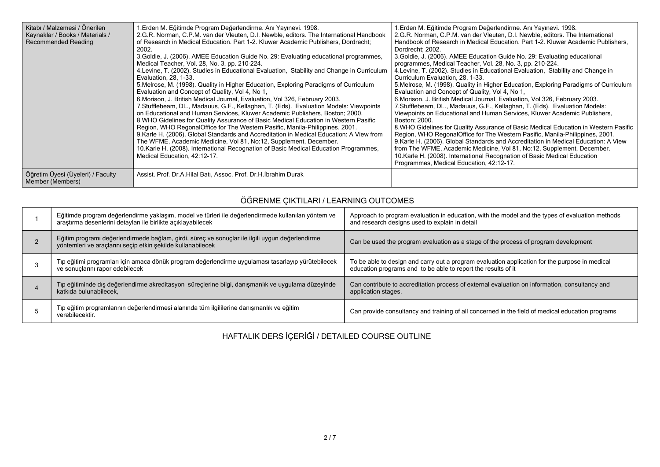| Kitabı / Malzemesi / Önerilen<br>Kaynaklar / Books / Materials /<br>Recommended Reading | .Erden M. Eğitimde Program Değerlendirme. Anı Yayınevi. 1998.<br>2.G.R. Norman, C.P.M. van der Vleuten, D.I. Newble, editors. The International Handbook<br>of Research in Medical Education. Part 1-2. Kluwer Academic Publishers, Dordrecht;<br>2002.<br>3. Goldie, J. (2006). AMEE Education Guide No. 29: Evaluating educational programmes,<br>Medical Teacher, Vol. 28, No. 3, pp. 210-224.<br>4. Levine, T. (2002). Studies in Educational Evaluation, Stability and Change in Curriculum<br>Evaluation, 28, 1-33.<br>5. Melrose, M. (1998). Quality in Higher Education, Exploring Paradigms of Curriculum<br>Evaluation and Concept of Quality, Vol 4, No 1,<br>6. Morison, J. British Medical Journal, Evaluation, Vol 326, February 2003.<br>7. Stufflebeam, DL., Madauus, G.F., Kellaghan, T. (Eds). Evaluation Models: Viewpoints<br>on Educational and Human Services, Kluwer Academic Publishers, Boston; 2000.<br>8. WHO Gidelines for Quality Assurance of Basic Medical Education in Western Pasific<br>Region, WHO RegonalOffice for The Western Pasific, Manila-Philippines, 2001.<br>9. Karle H. (2006). Global Standards and Accreditation in Medical Education: A View from<br>The WFME, Academic Medicine, Vol 81, No:12, Supplement, December.<br>10. Karle H. (2008). International Recognation of Basic Medical Education Programmes,<br>Medical Education, 42:12-17. | 1. Erden M. Eğitimde Program Değerlendirme. Anı Yayınevi. 1998.<br>2.G.R. Norman, C.P.M. van der Vleuten, D.I. Newble, editors. The International<br>Handbook of Research in Medical Education. Part 1-2. Kluwer Academic Publishers,<br>Dordrecht, 2002.<br>3. Goldie, J. (2006). AMEE Education Guide No. 29: Evaluating educational<br>programmes, Medical Teacher, Vol. 28, No. 3, pp. 210-224.<br>4. Levine, T. (2002). Studies in Educational Evaluation, Stability and Change in<br>Curriculum Evaluation, 28, 1-33.<br>5. Melrose, M. (1998). Quality in Higher Education, Exploring Paradigms of Curriculum<br>Evaluation and Concept of Quality, Vol 4, No 1,<br>6. Morison, J. British Medical Journal, Evaluation, Vol 326, February 2003.<br>7. Stufflebeam, DL., Madauus, G.F., Kellaghan, T. (Eds). Evaluation Models:<br>Viewpoints on Educational and Human Services, Kluwer Academic Publishers,<br>Boston: 2000.<br>8. WHO Gidelines for Quality Assurance of Basic Medical Education in Western Pasific<br>Region, WHO RegonalOffice for The Western Pasific, Manila-Philippines, 2001.<br>9. Karle H. (2006). Global Standards and Accreditation in Medical Education: A View<br>from The WFME, Academic Medicine, Vol 81, No:12, Supplement, December.<br>10. Karle H. (2008). International Recognation of Basic Medical Education<br>Programmes, Medical Education, 42:12-17. |
|-----------------------------------------------------------------------------------------|--------------------------------------------------------------------------------------------------------------------------------------------------------------------------------------------------------------------------------------------------------------------------------------------------------------------------------------------------------------------------------------------------------------------------------------------------------------------------------------------------------------------------------------------------------------------------------------------------------------------------------------------------------------------------------------------------------------------------------------------------------------------------------------------------------------------------------------------------------------------------------------------------------------------------------------------------------------------------------------------------------------------------------------------------------------------------------------------------------------------------------------------------------------------------------------------------------------------------------------------------------------------------------------------------------------------------------------------------------------------------------------------------|-------------------------------------------------------------------------------------------------------------------------------------------------------------------------------------------------------------------------------------------------------------------------------------------------------------------------------------------------------------------------------------------------------------------------------------------------------------------------------------------------------------------------------------------------------------------------------------------------------------------------------------------------------------------------------------------------------------------------------------------------------------------------------------------------------------------------------------------------------------------------------------------------------------------------------------------------------------------------------------------------------------------------------------------------------------------------------------------------------------------------------------------------------------------------------------------------------------------------------------------------------------------------------------------------------------------------------------------------------------------------------------------------------|
| Öğretim Üyesi (Üyeleri) / Faculty<br>Member (Members)                                   | Assist. Prof. Dr.A. Hilal Batı, Assoc. Prof. Dr.H. İbrahim Durak                                                                                                                                                                                                                                                                                                                                                                                                                                                                                                                                                                                                                                                                                                                                                                                                                                                                                                                                                                                                                                                                                                                                                                                                                                                                                                                                 |                                                                                                                                                                                                                                                                                                                                                                                                                                                                                                                                                                                                                                                                                                                                                                                                                                                                                                                                                                                                                                                                                                                                                                                                                                                                                                                                                                                                       |

# **ÖĞRENME ÇIKTILARI / LEARNING OUTCOMES**

| Eğitimde program değerlendirme yaklaşım, model ve türleri ile değerlendirmede kullanılan yöntem ve<br>araştırma desenlerini detayları ile birlikte açıklayabilecek | Approach to program evaluation in education, with the model and the types of evaluation methods<br>and research designs used to explain in detail               |
|--------------------------------------------------------------------------------------------------------------------------------------------------------------------|-----------------------------------------------------------------------------------------------------------------------------------------------------------------|
| Eğitim programı değerlendirmede bağlam, girdi, süreç ve sonuçlar ile ilgili uygun değerlendirme<br>yöntemleri ve araçlarını seçip etkin şekilde kullanabilecek     | Can be used the program evaluation as a stage of the process of program development                                                                             |
| Tıp eğitimi programları için amaca dönük program değerlendirme uygulaması tasarlayıp yürütebilecek<br>ve sonuçlarını rapor edebilecek                              | To be able to design and carry out a program evaluation application for the purpose in medical<br>education programs and to be able to report the results of it |
| Tıp eğitiminde dış değerlendirme akreditasyon süreçlerine bilgi, danışmanlık ve uygulama düzeyinde<br>katkıda bulunabilecek,                                       | Can contribute to accreditation process of external evaluation on information, consultancy and<br>application stages.                                           |
| Tıp eğitim programlarının değerlendirmesi alanında tüm ilgililerine danışmanlık ve eğitim<br>verebilecektir.                                                       | Can provide consultancy and training of all concerned in the field of medical education programs                                                                |

**HAFTALIK DERS İÇERİĞİ / DETAILED COURSE OUTLINE**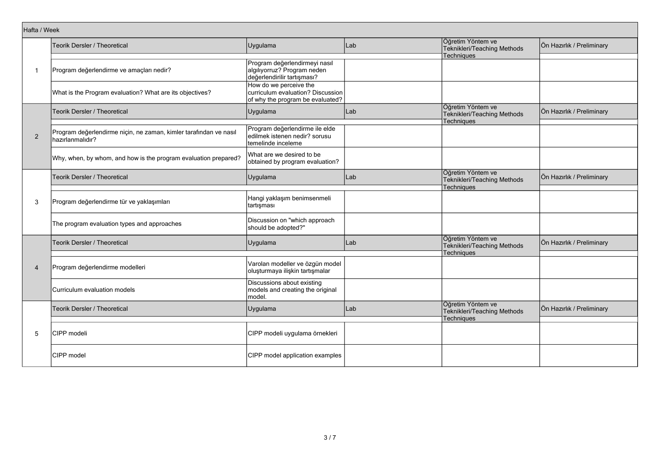| Hafta / Week   |                                                                                       |                                                                                                 |     |                                                                       |                           |
|----------------|---------------------------------------------------------------------------------------|-------------------------------------------------------------------------------------------------|-----|-----------------------------------------------------------------------|---------------------------|
|                | <b>Teorik Dersler / Theoretical</b>                                                   | Uygulama                                                                                        | Lab | Öğretim Yöntem ve<br>Teknikleri/Teaching Methods                      | Ön Hazırlık / Preliminary |
| -1             | Program değerlendirme ve amaçları nedir?                                              | Program değerlendirmeyi nasıl<br>algılıyorruz? Program neden<br>değerlendirilir tartışması?     |     | <b>Techniques</b>                                                     |                           |
|                | What is the Program evaluation? What are its objectives?                              | How do we perceive the<br>curriculum evaluation? Discussion<br>of why the program be evaluated? |     |                                                                       |                           |
|                | Teorik Dersler / Theoretical                                                          | Uygulama                                                                                        | Lab | Öğretim Yöntem ve<br>Teknikleri/Teaching Methods<br>Techniques        | Ön Hazırlık / Preliminary |
| $\overline{2}$ | Program değerlendirme niçin, ne zaman, kimler tarafından ve nasıl<br>hazırlanmalıdır? | Program değerlendirme ile elde<br>edilmek istenen nedir? sorusu<br>temelinde inceleme           |     |                                                                       |                           |
|                | Why, when, by whom, and how is the program evaluation prepared?                       | What are we desired to be<br>obtained by program evaluation?                                    |     |                                                                       |                           |
|                | Teorik Dersler / Theoretical                                                          | Uygulama                                                                                        | Lab | Öğretim Yöntem ve<br>Teknikleri/Teaching Methods<br>Techniques        | Ön Hazırlık / Preliminary |
| 3              | Program değerlendirme tür ve yaklaşımları                                             | Hangi yaklaşım benimsenmeli<br>tartışması                                                       |     |                                                                       |                           |
|                | The program evaluation types and approaches                                           | Discussion on "which approach<br>should be adopted?"                                            |     |                                                                       |                           |
|                | Teorik Dersler / Theoretical                                                          | Uygulama                                                                                        | Lab | Öğretim Yöntem ve<br>Teknikleri/Teaching Methods<br><b>Techniques</b> | Ön Hazırlık / Preliminary |
| $\overline{4}$ | Program değerlendirme modelleri                                                       | Varolan modeller ve özgün model<br>oluşturmaya ilişkin tartışmalar                              |     |                                                                       |                           |
|                | Curriculum evaluation models                                                          | Discussions about existing<br>models and creating the original<br>model.                        |     |                                                                       |                           |
|                | Teorik Dersler / Theoretical                                                          | Uygulama                                                                                        | Lab | Öğretim Yöntem ve<br>Teknikleri/Teaching Methods<br><b>Techniques</b> | Ön Hazırlık / Preliminary |
| 5              | CIPP modeli                                                                           | CIPP modeli uygulama örnekleri                                                                  |     |                                                                       |                           |
|                | <b>CIPP</b> model                                                                     | CIPP model application examples                                                                 |     |                                                                       |                           |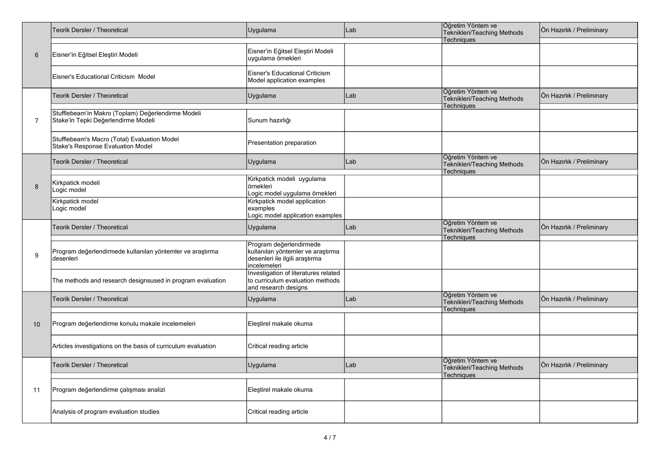|                | <b>Teorik Dersler / Theoretical</b>                                                       | Uygulama                                                                                                       | Lab | Öğretim Yöntem ve<br>Teknikleri/Teaching Methods               | Ön Hazırlık / Preliminary |
|----------------|-------------------------------------------------------------------------------------------|----------------------------------------------------------------------------------------------------------------|-----|----------------------------------------------------------------|---------------------------|
|                |                                                                                           |                                                                                                                |     | Techniques                                                     |                           |
| 6              | Eisner'in Eğitsel Eleştiri Modeli                                                         | Eisner'in Eğitsel Eleştiri Modeli<br>uygulama örnekleri                                                        |     |                                                                |                           |
|                | Eisner's Educational Criticism Model                                                      | Eisner's Educational Criticism<br>Model application examples                                                   |     |                                                                |                           |
|                | <b>Teorik Dersler / Theoretical</b>                                                       | Uygulama                                                                                                       | Lab | Öğretim Yöntem ve<br>Teknikleri/Teaching Methods<br>Techniques | Ön Hazırlık / Preliminary |
| $\overline{7}$ | Stufflebeam'in Makro (Toplam) Değerlendirme Modeli<br>Stake'in Tepki Değerlendirme Modeli | Sunum hazırlığı                                                                                                |     |                                                                |                           |
|                | Stufflebeam's Macro (Total) Evaluation Model<br>Stake's Response Evaluation Model         | Presentation preparation                                                                                       |     |                                                                |                           |
|                | Teorik Dersler / Theoretical                                                              | Uygulama                                                                                                       | Lab | Öğretim Yöntem ve<br>Teknikleri/Teaching Methods<br>Techniques | Ön Hazırlık / Preliminary |
|                |                                                                                           | Kirkpatick modeli uygulama                                                                                     |     |                                                                |                           |
| 8              | Kirkpatick modeli<br>Logic model                                                          | <i>ornekleri</i><br>Logic model uygulama örnekleri                                                             |     |                                                                |                           |
|                | Kirkpatick model<br>Logic model                                                           | Kirkpatick model application<br>examples<br>Logic model application examples                                   |     |                                                                |                           |
|                | Teorik Dersler / Theoretical                                                              | Uygulama                                                                                                       | Lab | Öğretim Yöntem ve<br>Teknikleri/Teaching Methods<br>Techniques | Ön Hazırlık / Preliminary |
| 9              | Program değerlendirmede kullanılan yöntemler ve araştırma<br>desenleri                    | Program değerlendirmede<br>kullanılan yöntemler ve araştırma<br>desenleri ile ilgili araştırma<br>incelemeleri |     |                                                                |                           |
|                | The methods and research designsused in program evaluation                                | Investigation of literatures related<br>to curriculum evaluation methods<br>and research designs               |     |                                                                |                           |
|                | <b>Teorik Dersler / Theoretical</b>                                                       | Uygulama                                                                                                       | Lab | Öğretim Yöntem ve<br>Teknikleri/Teaching Methods<br>Techniques | Ön Hazırlık / Preliminary |
|                |                                                                                           |                                                                                                                |     |                                                                |                           |
| 10             | Program değerlendirme konulu makale incelemeleri                                          | Eleştirel makale okuma                                                                                         |     |                                                                |                           |
|                | Articles investigations on the basis of curriculum evaluation                             | Critical reading article                                                                                       |     |                                                                |                           |
|                | <b>Teorik Dersler / Theoretical</b>                                                       | Uygulama                                                                                                       | Lab | Öğretim Yöntem ve<br>Teknikleri/Teaching Methods<br>Techniques | Ön Hazırlık / Preliminary |
|                |                                                                                           |                                                                                                                |     |                                                                |                           |
| 11             | Program değerlendirme çalışması analizi                                                   | Eleştirel makale okuma                                                                                         |     |                                                                |                           |
|                | Analysis of program evaluation studies                                                    | Critical reading article                                                                                       |     |                                                                |                           |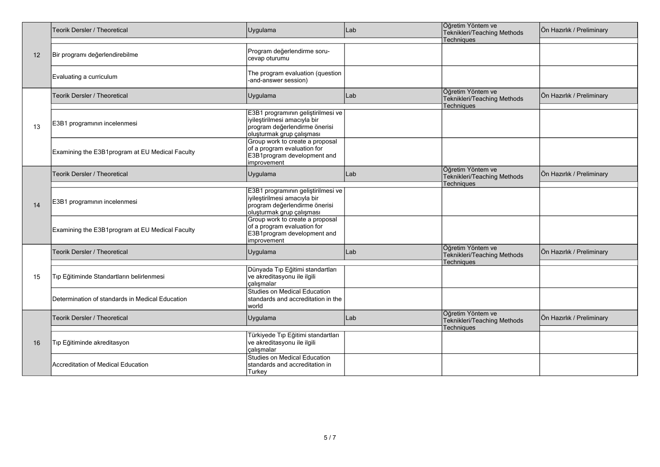|    | Teorik Dersler / Theoretical                    | Uygulama                                                                                                                         | Lab | Öğretim Yöntem ve<br>Teknikleri/Teaching Methods                      | Ön Hazırlık / Preliminary |
|----|-------------------------------------------------|----------------------------------------------------------------------------------------------------------------------------------|-----|-----------------------------------------------------------------------|---------------------------|
|    |                                                 |                                                                                                                                  |     | Techniques                                                            |                           |
| 12 | Bir programı değerlendirebilme                  | Program değerlendirme soru-<br>cevap oturumu                                                                                     |     |                                                                       |                           |
|    | Evaluating a curriculum                         | The program evaluation (question<br>-and-answer session)                                                                         |     |                                                                       |                           |
|    | <b>Teorik Dersler / Theoretical</b>             | Uygulama                                                                                                                         | Lab | Öğretim Yöntem ve<br>Teknikleri/Teaching Methods<br>Techniques        | Ön Hazırlık / Preliminary |
| 13 | E3B1 programının incelenmesi                    | E3B1 programının geliştirilmesi ve<br>iyileştirilmesi amacıyla bir<br>program değerlendirme önerisi<br>oluşturmak grup çalışması |     |                                                                       |                           |
|    | Examining the E3B1program at EU Medical Faculty | Group work to create a proposal<br>of a program evaluation for<br>E3B1program development and<br>improvement                     |     |                                                                       |                           |
|    | Teorik Dersler / Theoretical                    | Uygulama                                                                                                                         | Lab | Öğretim Yöntem ve<br>Teknikleri/Teaching Methods<br><b>Techniques</b> | Ön Hazırlık / Preliminary |
| 14 | E3B1 programının incelenmesi                    | E3B1 programının geliştirilmesi ve<br>iyileştirilmesi amacıyla bir<br>program değerlendirme önerisi                              |     |                                                                       |                           |
|    |                                                 | oluşturmak grup çalışması                                                                                                        |     |                                                                       |                           |
|    | Examining the E3B1program at EU Medical Faculty | Group work to create a proposal<br>of a program evaluation for<br>E3B1program development and<br>improvement                     |     |                                                                       |                           |
|    | Teorik Dersler / Theoretical                    | Uygulama                                                                                                                         | Lab | Öğretim Yöntem ve<br>Teknikleri/Teaching Methods<br><b>Techniques</b> | Ön Hazırlık / Preliminary |
| 15 | Tıp Eğitiminde Standartların belirlenmesi       | Dünyada Tıp Eğitimi standartları<br>ve akreditasyonu ile ilgili<br>calışmalar                                                    |     |                                                                       |                           |
|    | Determination of standards in Medical Education | <b>Studies on Medical Education</b><br>standards and accreditation in the<br>world                                               |     |                                                                       |                           |
|    | Teorik Dersler / Theoretical                    | Uygulama                                                                                                                         | Lab | Öğretim Yöntem ve<br>Teknikleri/Teaching Methods<br>Techniques        | Ön Hazırlık / Preliminary |
|    |                                                 |                                                                                                                                  |     |                                                                       |                           |
| 16 | Tıp Eğitiminde akreditasyon                     | Türkiyede Tıp Eğitimi standartları<br>ve akreditasyonu ile ilgili<br>calışmalar                                                  |     |                                                                       |                           |
|    | Accreditation of Medical Education              | <b>Studies on Medical Education</b><br>standards and accreditation in<br>Turkey                                                  |     |                                                                       |                           |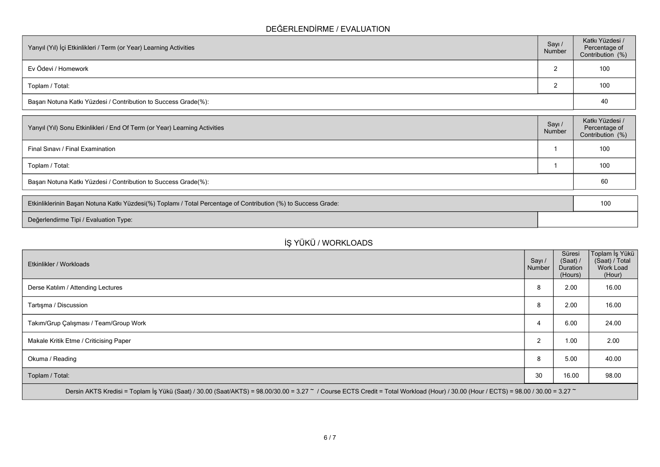### **DEĞERLENDİRME / EVALUATION**

| Yarıyıl (Yıl) İçi Etkinlikleri / Term (or Year) Learning Activities | Sayı /<br>Number | Katkı Yüzdesi /<br>Percentage of<br>Contribution (%) |
|---------------------------------------------------------------------|------------------|------------------------------------------------------|
| Ev Ödevi / Homework                                                 |                  | 100                                                  |
| Toplam / Total:                                                     |                  | 100                                                  |
| Başarı Notuna Katkı Yüzdesi / Contribution to Success Grade(%):     |                  | 40                                                   |

| Yarıyıl (Yıl) Sonu Etkinlikleri / End Of Term (or Year) Learning Activities | Sayı/<br>Number | Katkı Yüzdesi /<br>Percentage of<br>Contribution (%) |
|-----------------------------------------------------------------------------|-----------------|------------------------------------------------------|
| Final Sinavi / Final Examination                                            |                 | 100                                                  |
| Toplam / Total:                                                             |                 | 100                                                  |
| Başarı Notuna Katkı Yüzdesi / Contribution to Success Grade(%):             |                 | 60                                                   |
|                                                                             |                 |                                                      |

| Etkinliklerinin Başarı Notuna Katkı Yüzdesi(%) Toplamı / Total Percentage of Contribution (%) to Success Grade: |  |  |  |
|-----------------------------------------------------------------------------------------------------------------|--|--|--|
| Değerlendirme Tipi / Evaluation Type:                                                                           |  |  |  |

# **İŞ YÜKÜ / WORKLOADS**

| Etkinlikler / Workloads                                                                                                                                                            | Sayı /<br>Number | Süresi<br>(Saat) /<br>Duration<br>(Hours) | Toplam İş Yükü<br>(Saat) / Total<br>Work Load<br>(Hour) |
|------------------------------------------------------------------------------------------------------------------------------------------------------------------------------------|------------------|-------------------------------------------|---------------------------------------------------------|
| Derse Katılım / Attending Lectures                                                                                                                                                 | 8                | 2.00                                      | 16.00                                                   |
| Tartışma / Discussion                                                                                                                                                              | 8                | 2.00                                      | 16.00                                                   |
| Takım/Grup Çalışması / Team/Group Work                                                                                                                                             | 4                | 6.00                                      | 24.00                                                   |
| Makale Kritik Etme / Criticising Paper                                                                                                                                             | 2                | 1.00                                      | 2.00                                                    |
| Okuma / Reading                                                                                                                                                                    | 8                | 5.00                                      | 40.00                                                   |
| Toplam / Total:                                                                                                                                                                    | 30               | 16.00                                     | 98.00                                                   |
| Dersin AKTS Kredisi = Toplam İş Yükü (Saat) / 30.00 (Saat/AKTS) = 98.00/30.00 = 3.27 ~ / Course ECTS Credit = Total Workload (Hour) / 30.00 (Hour / ECTS) = 98.00 / 30.00 = 3.27 ~ |                  |                                           |                                                         |